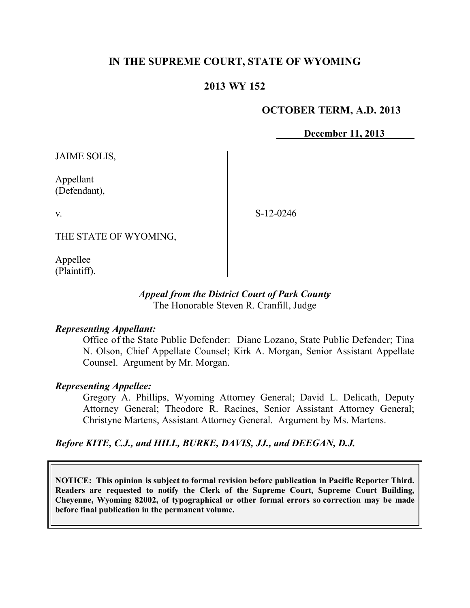# **IN THE SUPREME COURT, STATE OF WYOMING**

## **2013 WY 152**

### **OCTOBER TERM, A.D. 2013**

**December 11, 2013**

JAIME SOLIS,

Appellant (Defendant),

v.

S-12-0246

THE STATE OF WYOMING,

Appellee (Plaintiff).

### *Appeal from the District Court of Park County* The Honorable Steven R. Cranfill, Judge

### *Representing Appellant:*

Office of the State Public Defender: Diane Lozano, State Public Defender; Tina N. Olson, Chief Appellate Counsel; Kirk A. Morgan, Senior Assistant Appellate Counsel. Argument by Mr. Morgan.

### *Representing Appellee:*

Gregory A. Phillips, Wyoming Attorney General; David L. Delicath, Deputy Attorney General; Theodore R. Racines, Senior Assistant Attorney General; Christyne Martens, Assistant Attorney General. Argument by Ms. Martens.

### *Before KITE, C.J., and HILL, BURKE, DAVIS, JJ., and DEEGAN, D.J.*

**NOTICE: This opinion is subject to formal revision before publication in Pacific Reporter Third. Readers are requested to notify the Clerk of the Supreme Court, Supreme Court Building, Cheyenne, Wyoming 82002, of typographical or other formal errors so correction may be made before final publication in the permanent volume.**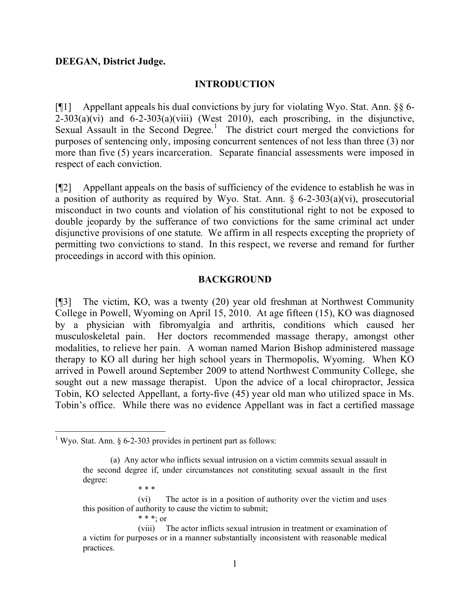#### **DEEGAN, District Judge.**

#### **INTRODUCTION**

[¶1] Appellant appeals his dual convictions by jury for violating Wyo. Stat. Ann. §§ 6-  $2-303(a)(vi)$  and  $6-2-303(a)(viii)$  (West 2010), each proscribing, in the disjunctive, Sexual Assault in the Second Degree.<sup>1</sup> The district court merged the convictions for purposes of sentencing only, imposing concurrent sentences of not less than three (3) nor more than five (5) years incarceration. Separate financial assessments were imposed in respect of each conviction.

[¶2] Appellant appeals on the basis of sufficiency of the evidence to establish he was in a position of authority as required by Wyo. Stat. Ann.  $\S$  6-2-303(a)(vi), prosecutorial misconduct in two counts and violation of his constitutional right to not be exposed to double jeopardy by the sufferance of two convictions for the same criminal act under disjunctive provisions of one statute. We affirm in all respects excepting the propriety of permitting two convictions to stand. In this respect, we reverse and remand for further proceedings in accord with this opinion.

#### **BACKGROUND**

[¶3] The victim, KO, was a twenty (20) year old freshman at Northwest Community College in Powell, Wyoming on April 15, 2010. At age fifteen (15), KO was diagnosed by a physician with fibromyalgia and arthritis, conditions which caused her musculoskeletal pain. Her doctors recommended massage therapy, amongst other modalities, to relieve her pain. A woman named Marion Bishop administered massage therapy to KO all during her high school years in Thermopolis, Wyoming. When KO arrived in Powell around September 2009 to attend Northwest Community College, she sought out a new massage therapist. Upon the advice of a local chiropractor, Jessica Tobin, KO selected Appellant, a forty-five (45) year old man who utilized space in Ms. Tobin's office. While there was no evidence Appellant was in fact a certified massage

 $\overline{a}$ 

(vi) The actor is in a position of authority over the victim and uses this position of authority to cause the victim to submit;

<sup>&</sup>lt;sup>1</sup> Wyo. Stat. Ann. § 6-2-303 provides in pertinent part as follows:

<sup>(</sup>a) Any actor who inflicts sexual intrusion on a victim commits sexual assault in the second degree if, under circumstances not constituting sexual assault in the first degree: \* \* \*

<sup>\* \* \*;</sup> or

<sup>(</sup>viii) The actor inflicts sexual intrusion in treatment or examination of a victim for purposes or in a manner substantially inconsistent with reasonable medical practices.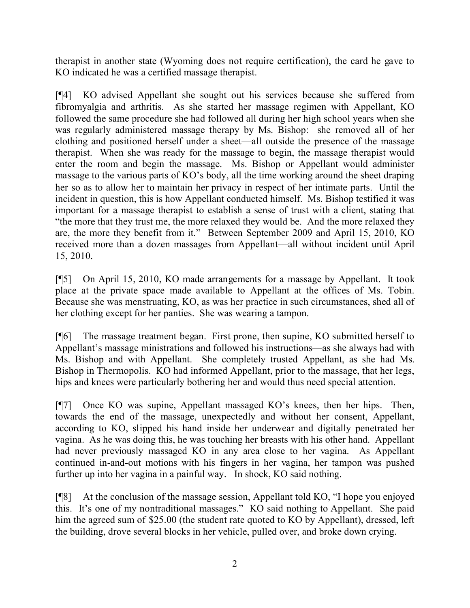therapist in another state (Wyoming does not require certification), the card he gave to KO indicated he was a certified massage therapist.

[¶4] KO advised Appellant she sought out his services because she suffered from fibromyalgia and arthritis. As she started her massage regimen with Appellant, KO followed the same procedure she had followed all during her high school years when she was regularly administered massage therapy by Ms. Bishop: she removed all of her clothing and positioned herself under a sheet—all outside the presence of the massage therapist. When she was ready for the massage to begin, the massage therapist would enter the room and begin the massage. Ms. Bishop or Appellant would administer massage to the various parts of KO's body, all the time working around the sheet draping her so as to allow her to maintain her privacy in respect of her intimate parts. Until the incident in question, this is how Appellant conducted himself. Ms. Bishop testified it was important for a massage therapist to establish a sense of trust with a client, stating that "the more that they trust me, the more relaxed they would be. And the more relaxed they are, the more they benefit from it." Between September 2009 and April 15, 2010, KO received more than a dozen massages from Appellant—all without incident until April 15, 2010.

[¶5] On April 15, 2010, KO made arrangements for a massage by Appellant. It took place at the private space made available to Appellant at the offices of Ms. Tobin. Because she was menstruating, KO, as was her practice in such circumstances, shed all of her clothing except for her panties. She was wearing a tampon.

[¶6] The massage treatment began. First prone, then supine, KO submitted herself to Appellant's massage ministrations and followed his instructions—as she always had with Ms. Bishop and with Appellant. She completely trusted Appellant, as she had Ms. Bishop in Thermopolis. KO had informed Appellant, prior to the massage, that her legs, hips and knees were particularly bothering her and would thus need special attention.

[¶7] Once KO was supine, Appellant massaged KO's knees, then her hips. Then, towards the end of the massage, unexpectedly and without her consent, Appellant, according to KO, slipped his hand inside her underwear and digitally penetrated her vagina. As he was doing this, he was touching her breasts with his other hand. Appellant had never previously massaged KO in any area close to her vagina. As Appellant continued in-and-out motions with his fingers in her vagina, her tampon was pushed further up into her vagina in a painful way. In shock, KO said nothing.

[¶8] At the conclusion of the massage session, Appellant told KO, "I hope you enjoyed this. It's one of my nontraditional massages." KO said nothing to Appellant. She paid him the agreed sum of \$25.00 (the student rate quoted to KO by Appellant), dressed, left the building, drove several blocks in her vehicle, pulled over, and broke down crying.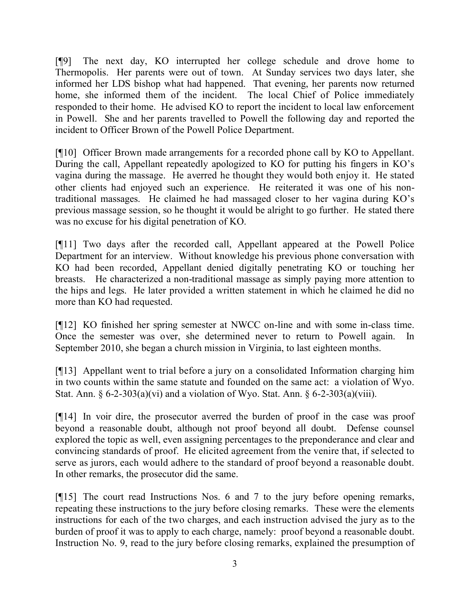[¶9] The next day, KO interrupted her college schedule and drove home to Thermopolis. Her parents were out of town. At Sunday services two days later, she informed her LDS bishop what had happened. That evening, her parents now returned home, she informed them of the incident. The local Chief of Police immediately responded to their home. He advised KO to report the incident to local law enforcement in Powell. She and her parents travelled to Powell the following day and reported the incident to Officer Brown of the Powell Police Department.

[¶10] Officer Brown made arrangements for a recorded phone call by KO to Appellant. During the call, Appellant repeatedly apologized to KO for putting his fingers in KO's vagina during the massage. He averred he thought they would both enjoy it. He stated other clients had enjoyed such an experience. He reiterated it was one of his nontraditional massages. He claimed he had massaged closer to her vagina during KO's previous massage session, so he thought it would be alright to go further. He stated there was no excuse for his digital penetration of KO.

[¶11] Two days after the recorded call, Appellant appeared at the Powell Police Department for an interview. Without knowledge his previous phone conversation with KO had been recorded, Appellant denied digitally penetrating KO or touching her breasts. He characterized a non-traditional massage as simply paying more attention to the hips and legs. He later provided a written statement in which he claimed he did no more than KO had requested.

[¶12] KO finished her spring semester at NWCC on-line and with some in-class time. Once the semester was over, she determined never to return to Powell again. In September 2010, she began a church mission in Virginia, to last eighteen months.

[¶13] Appellant went to trial before a jury on a consolidated Information charging him in two counts within the same statute and founded on the same act: a violation of Wyo. Stat. Ann.  $\S 6-2-303(a)(vi)$  and a violation of Wyo. Stat. Ann.  $\S 6-2-303(a)(viii)$ .

[¶14] In voir dire, the prosecutor averred the burden of proof in the case was proof beyond a reasonable doubt, although not proof beyond all doubt. Defense counsel explored the topic as well, even assigning percentages to the preponderance and clear and convincing standards of proof. He elicited agreement from the venire that, if selected to serve as jurors, each would adhere to the standard of proof beyond a reasonable doubt. In other remarks, the prosecutor did the same.

[¶15] The court read Instructions Nos. 6 and 7 to the jury before opening remarks, repeating these instructions to the jury before closing remarks. These were the elements instructions for each of the two charges, and each instruction advised the jury as to the burden of proof it was to apply to each charge, namely: proof beyond a reasonable doubt. Instruction No. 9, read to the jury before closing remarks, explained the presumption of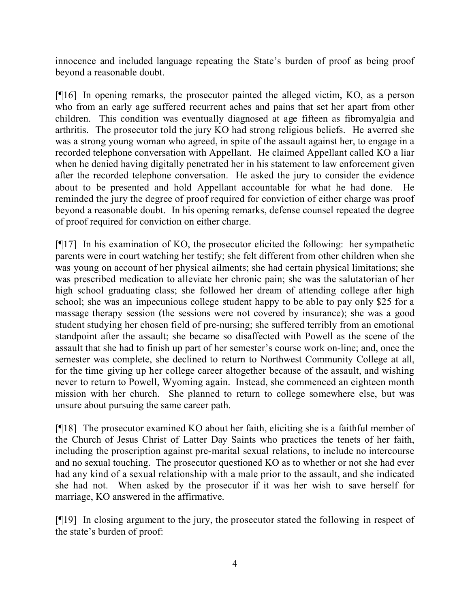innocence and included language repeating the State's burden of proof as being proof beyond a reasonable doubt.

[¶16] In opening remarks, the prosecutor painted the alleged victim, KO, as a person who from an early age suffered recurrent aches and pains that set her apart from other children. This condition was eventually diagnosed at age fifteen as fibromyalgia and arthritis. The prosecutor told the jury KO had strong religious beliefs. He averred she was a strong young woman who agreed, in spite of the assault against her, to engage in a recorded telephone conversation with Appellant. He claimed Appellant called KO a liar when he denied having digitally penetrated her in his statement to law enforcement given after the recorded telephone conversation. He asked the jury to consider the evidence about to be presented and hold Appellant accountable for what he had done. He reminded the jury the degree of proof required for conviction of either charge was proof beyond a reasonable doubt. In his opening remarks, defense counsel repeated the degree of proof required for conviction on either charge.

[¶17] In his examination of KO, the prosecutor elicited the following: her sympathetic parents were in court watching her testify; she felt different from other children when she was young on account of her physical ailments; she had certain physical limitations; she was prescribed medication to alleviate her chronic pain; she was the salutatorian of her high school graduating class; she followed her dream of attending college after high school; she was an impecunious college student happy to be able to pay only \$25 for a massage therapy session (the sessions were not covered by insurance); she was a good student studying her chosen field of pre-nursing; she suffered terribly from an emotional standpoint after the assault; she became so disaffected with Powell as the scene of the assault that she had to finish up part of her semester's course work on-line; and, once the semester was complete, she declined to return to Northwest Community College at all, for the time giving up her college career altogether because of the assault, and wishing never to return to Powell, Wyoming again. Instead, she commenced an eighteen month mission with her church. She planned to return to college somewhere else, but was unsure about pursuing the same career path.

[¶18] The prosecutor examined KO about her faith, eliciting she is a faithful member of the Church of Jesus Christ of Latter Day Saints who practices the tenets of her faith, including the proscription against pre-marital sexual relations, to include no intercourse and no sexual touching. The prosecutor questioned KO as to whether or not she had ever had any kind of a sexual relationship with a male prior to the assault, and she indicated she had not. When asked by the prosecutor if it was her wish to save herself for marriage, KO answered in the affirmative.

[¶19] In closing argument to the jury, the prosecutor stated the following in respect of the state's burden of proof: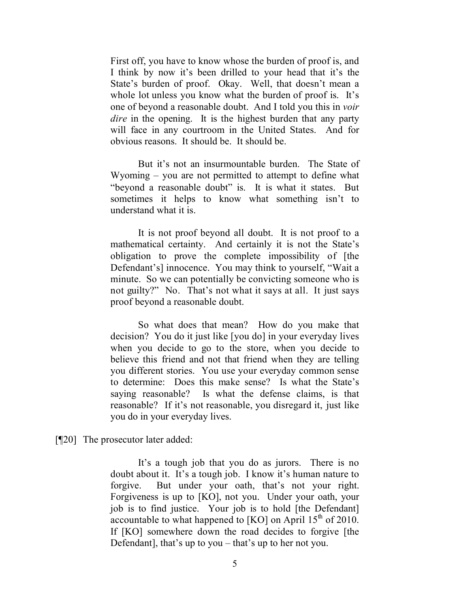First off, you have to know whose the burden of proof is, and I think by now it's been drilled to your head that it's the State's burden of proof. Okay. Well, that doesn't mean a whole lot unless you know what the burden of proof is. It's one of beyond a reasonable doubt. And I told you this in *voir dire* in the opening. It is the highest burden that any party will face in any courtroom in the United States. And for obvious reasons. It should be. It should be.

But it's not an insurmountable burden. The State of Wyoming – you are not permitted to attempt to define what "beyond a reasonable doubt" is. It is what it states. But sometimes it helps to know what something isn't to understand what it is.

It is not proof beyond all doubt. It is not proof to a mathematical certainty. And certainly it is not the State's obligation to prove the complete impossibility of [the Defendant's] innocence. You may think to yourself, "Wait a minute. So we can potentially be convicting someone who is not guilty?" No. That's not what it says at all. It just says proof beyond a reasonable doubt.

So what does that mean? How do you make that decision? You do it just like [you do] in your everyday lives when you decide to go to the store, when you decide to believe this friend and not that friend when they are telling you different stories. You use your everyday common sense to determine: Does this make sense? Is what the State's saying reasonable? Is what the defense claims, is that reasonable? If it's not reasonable, you disregard it, just like you do in your everyday lives.

[¶20] The prosecutor later added:

It's a tough job that you do as jurors. There is no doubt about it. It's a tough job. I know it's human nature to forgive. But under your oath, that's not your right. Forgiveness is up to [KO], not you. Under your oath, your job is to find justice. Your job is to hold [the Defendant] accountable to what happened to  $[KO]$  on April  $15<sup>th</sup>$  of 2010. If [KO] somewhere down the road decides to forgive [the Defendant], that's up to you – that's up to her not you.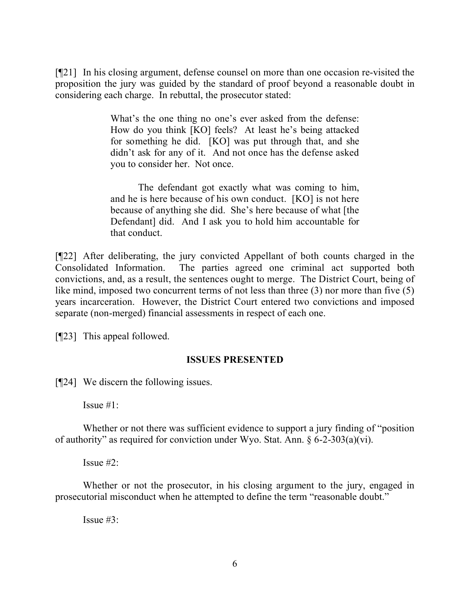[¶21] In his closing argument, defense counsel on more than one occasion re-visited the proposition the jury was guided by the standard of proof beyond a reasonable doubt in considering each charge. In rebuttal, the prosecutor stated:

> What's the one thing no one's ever asked from the defense: How do you think [KO] feels? At least he's being attacked for something he did. [KO] was put through that, and she didn't ask for any of it. And not once has the defense asked you to consider her. Not once.

> The defendant got exactly what was coming to him, and he is here because of his own conduct. [KO] is not here because of anything she did. She's here because of what [the Defendant] did. And I ask you to hold him accountable for that conduct.

[¶22] After deliberating, the jury convicted Appellant of both counts charged in the Consolidated Information. The parties agreed one criminal act supported both convictions, and, as a result, the sentences ought to merge. The District Court, being of like mind, imposed two concurrent terms of not less than three (3) nor more than five (5) years incarceration. However, the District Court entered two convictions and imposed separate (non-merged) financial assessments in respect of each one.

[¶23] This appeal followed.

## **ISSUES PRESENTED**

[¶24] We discern the following issues.

Issue #1:

Whether or not there was sufficient evidence to support a jury finding of "position" of authority" as required for conviction under Wyo. Stat. Ann.  $\frac{6}{2}$ -303(a)(vi).

Issue  $#2$ :

Whether or not the prosecutor, in his closing argument to the jury, engaged in prosecutorial misconduct when he attempted to define the term "reasonable doubt."

Issue #3: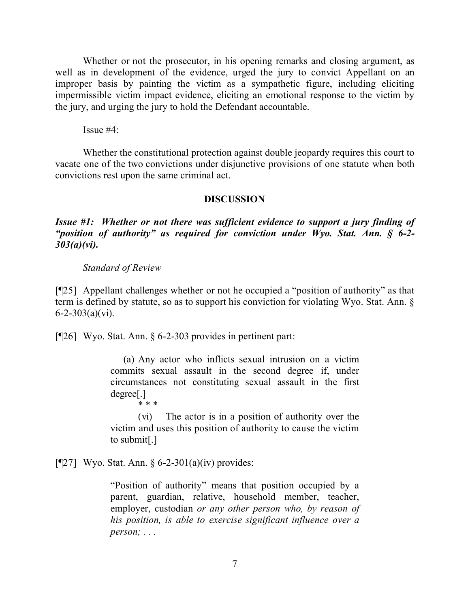Whether or not the prosecutor, in his opening remarks and closing argument, as well as in development of the evidence, urged the jury to convict Appellant on an improper basis by painting the victim as a sympathetic figure, including eliciting impermissible victim impact evidence, eliciting an emotional response to the victim by the jury, and urging the jury to hold the Defendant accountable.

Issue  $#4$ :

Whether the constitutional protection against double jeopardy requires this court to vacate one of the two convictions under disjunctive provisions of one statute when both convictions rest upon the same criminal act.

### **DISCUSSION**

*Issue #1: Whether or not there was sufficient evidence to support a jury finding of "position of authority" as required for conviction under Wyo. Stat. Ann. § 6-2- 303(a)(vi).*

#### *Standard of Review*

[¶25] Appellant challenges whether or not he occupied a "position of authority" as that term is defined by statute, so as to support his conviction for violating Wyo. Stat. Ann. §  $6 - 2 - 303(a)(vi)$ .

[¶26] Wyo. Stat. Ann. § 6-2-303 provides in pertinent part:

 (a) Any actor who inflicts sexual intrusion on a victim commits sexual assault in the second degree if, under circumstances not constituting sexual assault in the first degree[.]

\* \* \*

(vi) The actor is in a position of authority over the victim and uses this position of authority to cause the victim to submit[.]

[ $[27]$ ] Wyo. Stat. Ann. § 6-2-301(a)(iv) provides:

"Position of authority" means that position occupied by a parent, guardian, relative, household member, teacher, employer, custodian *or any other person who, by reason of his position, is able to exercise significant influence over a person; . . .*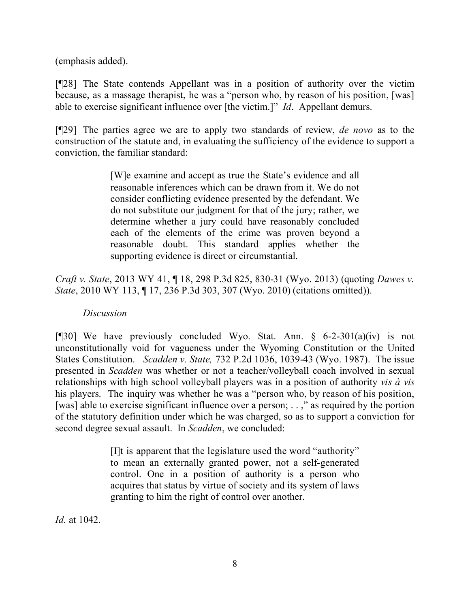(emphasis added).

[¶28] The State contends Appellant was in a position of authority over the victim because, as a massage therapist, he was a "person who, by reason of his position, [was] able to exercise significant influence over [the victim.]" *Id*. Appellant demurs.

[¶29] The parties agree we are to apply two standards of review, *de novo* as to the construction of the statute and, in evaluating the sufficiency of the evidence to support a conviction, the familiar standard:

> [W]e examine and accept as true the State's evidence and all reasonable inferences which can be drawn from it. We do not consider conflicting evidence presented by the defendant. We do not substitute our judgment for that of the jury; rather, we determine whether a jury could have reasonably concluded each of the elements of the crime was proven beyond a reasonable doubt. This standard applies whether the supporting evidence is direct or circumstantial.

*Craft v. State*, 2013 WY 41, ¶ 18, 298 P.3d 825, 830-31 (Wyo. 2013) (quoting *Dawes v. State*, 2010 WY 113, ¶ 17, 236 P.3d 303, 307 (Wyo. 2010) (citations omitted)).

## *Discussion*

[¶30] We have previously concluded Wyo. Stat. Ann.  $§$  6-2-301(a)(iv) is not unconstitutionally void for vagueness under the Wyoming Constitution or the United States Constitution. *Scadden v. State,* 732 P.2d 1036, 1039-43 (Wyo. 1987). The issue presented in *Scadden* was whether or not a teacher/volleyball coach involved in sexual relationships with high school volleyball players was in a position of authority *vis à vis* his players. The inquiry was whether he was a "person who, by reason of his position, [was] able to exercise significant influence over a person; . . ," as required by the portion of the statutory definition under which he was charged, so as to support a conviction for second degree sexual assault. In *Scadden*, we concluded:

> [I]t is apparent that the legislature used the word "authority" to mean an externally granted power, not a self-generated control. One in a position of authority is a person who acquires that status by virtue of society and its system of laws granting to him the right of control over another.

*Id.* at 1042.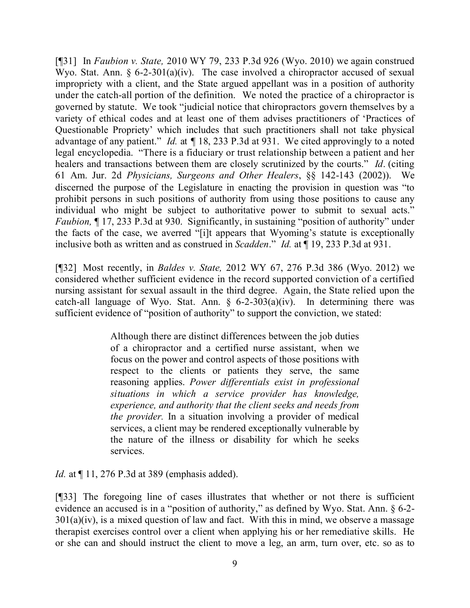[¶31] In *Faubion v. State,* 2010 WY 79, 233 P.3d 926 (Wyo. 2010) we again construed Wyo. Stat. Ann. § 6-2-301(a)(iv). The case involved a chiropractor accused of sexual impropriety with a client, and the State argued appellant was in a position of authority under the catch-all portion of the definition. We noted the practice of a chiropractor is governed by statute. We took "judicial notice that chiropractors govern themselves by a variety of ethical codes and at least one of them advises practitioners of 'Practices of Questionable Propriety' which includes that such practitioners shall not take physical advantage of any patient." *Id.* at *¶* 18, 233 P.3d at 931. We cited approvingly to a noted legal encyclopedia. "There is a fiduciary or trust relationship between a patient and her healers and transactions between them are closely scrutinized by the courts." *Id*. (citing 61 Am. Jur. 2d *Physicians, Surgeons and Other Healers*, §§ 142-143 (2002)). We discerned the purpose of the Legislature in enacting the provision in question was "to prohibit persons in such positions of authority from using those positions to cause any individual who might be subject to authoritative power to submit to sexual acts." *Faubion*, ¶ 17, 233 P.3d at 930. Significantly, in sustaining "position of authority" under the facts of the case, we averred "[i]t appears that Wyoming's statute is exceptionally inclusive both as written and as construed in *Scadden*." *Id.* at ¶ 19, 233 P.3d at 931.

[¶32] Most recently, in *Baldes v. State,* 2012 WY 67, 276 P.3d 386 (Wyo. 2012) we considered whether sufficient evidence in the record supported conviction of a certified nursing assistant for sexual assault in the third degree. Again, the State relied upon the catch-all language of Wyo. Stat. Ann.  $\S$  6-2-303(a)(iv). In determining there was sufficient evidence of "position of authority" to support the conviction, we stated:

> Although there are distinct differences between the job duties of a chiropractor and a certified nurse assistant, when we focus on the power and control aspects of those positions with respect to the clients or patients they serve, the same reasoning applies. *Power differentials exist in professional situations in which a service provider has knowledge, experience, and authority that the client seeks and needs from the provider.* In a situation involving a provider of medical services, a client may be rendered exceptionally vulnerable by the nature of the illness or disability for which he seeks services.

*Id.* at  $\P$  11, 276 P.3d at 389 (emphasis added).

[¶33] The foregoing line of cases illustrates that whether or not there is sufficient evidence an accused is in a "position of authority," as defined by Wyo. Stat. Ann. § 6-2-  $301(a)(iv)$ , is a mixed question of law and fact. With this in mind, we observe a massage therapist exercises control over a client when applying his or her remediative skills. He or she can and should instruct the client to move a leg, an arm, turn over, etc. so as to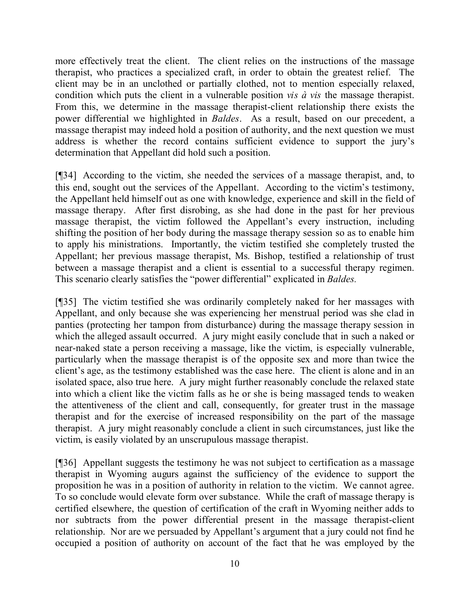more effectively treat the client. The client relies on the instructions of the massage therapist, who practices a specialized craft, in order to obtain the greatest relief. The client may be in an unclothed or partially clothed, not to mention especially relaxed, condition which puts the client in a vulnerable position *vis à vis* the massage therapist. From this, we determine in the massage therapist-client relationship there exists the power differential we highlighted in *Baldes*. As a result, based on our precedent, a massage therapist may indeed hold a position of authority, and the next question we must address is whether the record contains sufficient evidence to support the jury's determination that Appellant did hold such a position.

[¶34] According to the victim, she needed the services of a massage therapist, and, to this end, sought out the services of the Appellant. According to the victim's testimony, the Appellant held himself out as one with knowledge, experience and skill in the field of massage therapy. After first disrobing, as she had done in the past for her previous massage therapist, the victim followed the Appellant's every instruction, including shifting the position of her body during the massage therapy session so as to enable him to apply his ministrations. Importantly, the victim testified she completely trusted the Appellant; her previous massage therapist, Ms. Bishop, testified a relationship of trust between a massage therapist and a client is essential to a successful therapy regimen. This scenario clearly satisfies the "power differential" explicated in *Baldes.*

[¶35] The victim testified she was ordinarily completely naked for her massages with Appellant, and only because she was experiencing her menstrual period was she clad in panties (protecting her tampon from disturbance) during the massage therapy session in which the alleged assault occurred. A jury might easily conclude that in such a naked or near-naked state a person receiving a massage, like the victim, is especially vulnerable, particularly when the massage therapist is of the opposite sex and more than twice the client's age, as the testimony established was the case here. The client is alone and in an isolated space, also true here. A jury might further reasonably conclude the relaxed state into which a client like the victim falls as he or she is being massaged tends to weaken the attentiveness of the client and call, consequently, for greater trust in the massage therapist and for the exercise of increased responsibility on the part of the massage therapist. A jury might reasonably conclude a client in such circumstances, just like the victim, is easily violated by an unscrupulous massage therapist.

[¶36] Appellant suggests the testimony he was not subject to certification as a massage therapist in Wyoming augurs against the sufficiency of the evidence to support the proposition he was in a position of authority in relation to the victim. We cannot agree. To so conclude would elevate form over substance. While the craft of massage therapy is certified elsewhere, the question of certification of the craft in Wyoming neither adds to nor subtracts from the power differential present in the massage therapist-client relationship. Nor are we persuaded by Appellant's argument that a jury could not find he occupied a position of authority on account of the fact that he was employed by the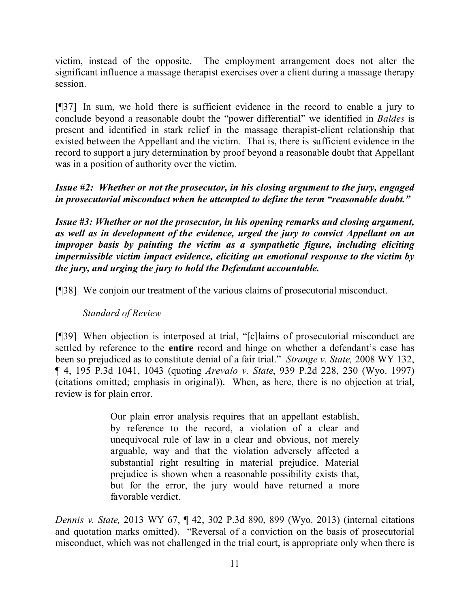victim, instead of the opposite. The employment arrangement does not alter the significant influence a massage therapist exercises over a client during a massage therapy session.

[¶37] In sum, we hold there is sufficient evidence in the record to enable a jury to conclude beyond a reasonable doubt the "power differential" we identified in *Baldes* is present and identified in stark relief in the massage therapist-client relationship that existed between the Appellant and the victim. That is, there is sufficient evidence in the record to support a jury determination by proof beyond a reasonable doubt that Appellant was in a position of authority over the victim.

*Issue #2: Whether or not the prosecutor, in his closing argument to the jury, engaged in prosecutorial misconduct when he attempted to define the term "reasonable doubt."*

*Issue #3: Whether or not the prosecutor, in his opening remarks and closing argument, as well as in development of the evidence, urged the jury to convict Appellant on an improper basis by painting the victim as a sympathetic figure, including eliciting impermissible victim impact evidence, eliciting an emotional response to the victim by the jury, and urging the jury to hold the Defendant accountable.* 

[¶38] We conjoin our treatment of the various claims of prosecutorial misconduct.

## *Standard of Review*

[¶39] When objection is interposed at trial, "[c]laims of prosecutorial misconduct are settled by reference to the **entire** record and hinge on whether a defendant's case has been so prejudiced as to constitute denial of a fair trial." *Strange v. State,* 2008 WY 132, ¶ 4, 195 P.3d 1041, 1043 (quoting *Arevalo v. State*, 939 P.2d 228, 230 (Wyo. 1997) (citations omitted; emphasis in original)). When, as here, there is no objection at trial, review is for plain error.

> Our plain error analysis requires that an appellant establish, by reference to the record, a violation of a clear and unequivocal rule of law in a clear and obvious, not merely arguable, way and that the violation adversely affected a substantial right resulting in material prejudice. Material prejudice is shown when a reasonable possibility exists that, but for the error, the jury would have returned a more favorable verdict.

*Dennis v. State,* 2013 WY 67, ¶ 42, 302 P.3d 890, 899 (Wyo. 2013) (internal citations and quotation marks omitted). "Reversal of a conviction on the basis of prosecutorial misconduct, which was not challenged in the trial court, is appropriate only when there is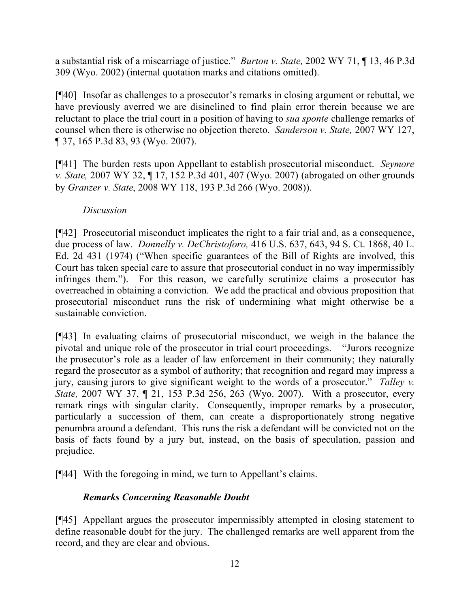a substantial risk of a miscarriage of justice." *Burton v. State,* 2002 WY 71, ¶ 13, 46 P.3d 309 (Wyo. 2002) (internal quotation marks and citations omitted).

[¶40] Insofar as challenges to a prosecutor's remarks in closing argument or rebuttal, we have previously averred we are disinclined to find plain error therein because we are reluctant to place the trial court in a position of having to *sua sponte* challenge remarks of counsel when there is otherwise no objection thereto. *Sanderson v. State,* 2007 WY 127, ¶ 37, 165 P.3d 83, 93 (Wyo. 2007).

[¶41] The burden rests upon Appellant to establish prosecutorial misconduct. *Seymore v. State,* 2007 WY 32, ¶ 17, 152 P.3d 401, 407 (Wyo. 2007) (abrogated on other grounds by *Granzer v. State*, 2008 WY 118, 193 P.3d 266 (Wyo. 2008)).

# *Discussion*

[¶42] Prosecutorial misconduct implicates the right to a fair trial and, as a consequence, due process of law. *Donnelly v. DeChristoforo,* 416 U.S. 637, 643, 94 S. Ct. 1868, 40 L. Ed. 2d 431 (1974) ("When specific guarantees of the Bill of Rights are involved, this Court has taken special care to assure that prosecutorial conduct in no way impermissibly infringes them."). For this reason, we carefully scrutinize claims a prosecutor has overreached in obtaining a conviction. We add the practical and obvious proposition that prosecutorial misconduct runs the risk of undermining what might otherwise be a sustainable conviction.

[¶43] In evaluating claims of prosecutorial misconduct, we weigh in the balance the pivotal and unique role of the prosecutor in trial court proceedings. "Jurors recognize the prosecutor's role as a leader of law enforcement in their community; they naturally regard the prosecutor as a symbol of authority; that recognition and regard may impress a jury, causing jurors to give significant weight to the words of a prosecutor." *Talley v. State,* 2007 WY 37, ¶ 21, 153 P.3d 256, 263 (Wyo. 2007). With a prosecutor, every remark rings with singular clarity. Consequently, improper remarks by a prosecutor, particularly a succession of them, can create a disproportionately strong negative penumbra around a defendant. This runs the risk a defendant will be convicted not on the basis of facts found by a jury but, instead, on the basis of speculation, passion and prejudice.

[¶44] With the foregoing in mind, we turn to Appellant's claims.

# *Remarks Concerning Reasonable Doubt*

[¶45] Appellant argues the prosecutor impermissibly attempted in closing statement to define reasonable doubt for the jury. The challenged remarks are well apparent from the record, and they are clear and obvious.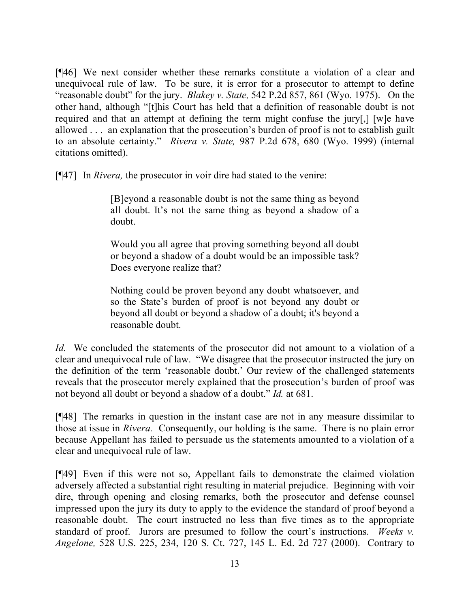[¶46] We next consider whether these remarks constitute a violation of a clear and unequivocal rule of law. To be sure, it is error for a prosecutor to attempt to define "reasonable doubt" for the jury. *Blakey v. State,* 542 P.2d 857, 861 (Wyo. 1975). On the other hand, although "[t]his Court has held that a definition of reasonable doubt is not required and that an attempt at defining the term might confuse the jury[,] [w]e have allowed . . . an explanation that the prosecution's burden of proof is not to establish guilt to an absolute certainty." *Rivera v. State,* 987 P.2d 678, 680 (Wyo. 1999) (internal citations omitted).

[¶47] In *Rivera,* the prosecutor in voir dire had stated to the venire:

[B]eyond a reasonable doubt is not the same thing as beyond all doubt. It's not the same thing as beyond a shadow of a doubt.

Would you all agree that proving something beyond all doubt or beyond a shadow of a doubt would be an impossible task? Does everyone realize that?

Nothing could be proven beyond any doubt whatsoever, and so the State's burden of proof is not beyond any doubt or beyond all doubt or beyond a shadow of a doubt; it's beyond a reasonable doubt.

*Id.* We concluded the statements of the prosecutor did not amount to a violation of a clear and unequivocal rule of law. "We disagree that the prosecutor instructed the jury on the definition of the term 'reasonable doubt.' Our review of the challenged statements reveals that the prosecutor merely explained that the prosecution's burden of proof was not beyond all doubt or beyond a shadow of a doubt." *Id.* at 681.

[¶48] The remarks in question in the instant case are not in any measure dissimilar to those at issue in *Rivera.* Consequently, our holding is the same. There is no plain error because Appellant has failed to persuade us the statements amounted to a violation of a clear and unequivocal rule of law.

[¶49] Even if this were not so, Appellant fails to demonstrate the claimed violation adversely affected a substantial right resulting in material prejudice. Beginning with voir dire, through opening and closing remarks, both the prosecutor and defense counsel impressed upon the jury its duty to apply to the evidence the standard of proof beyond a reasonable doubt. The court instructed no less than five times as to the appropriate standard of proof. Jurors are presumed to follow the court's instructions. *Weeks v. Angelone,* 528 U.S. 225, 234, 120 S. Ct. 727, 145 L. Ed. 2d 727 (2000). Contrary to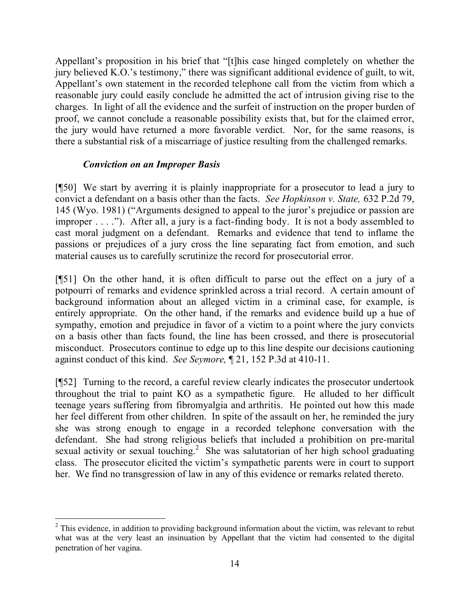Appellant's proposition in his brief that "[t]his case hinged completely on whether the jury believed K.O.'s testimony," there was significant additional evidence of guilt, to wit, Appellant's own statement in the recorded telephone call from the victim from which a reasonable jury could easily conclude he admitted the act of intrusion giving rise to the charges. In light of all the evidence and the surfeit of instruction on the proper burden of proof, we cannot conclude a reasonable possibility exists that, but for the claimed error, the jury would have returned a more favorable verdict. Nor, for the same reasons, is there a substantial risk of a miscarriage of justice resulting from the challenged remarks.

## *Conviction on an Improper Basis*

[¶50] We start by averring it is plainly inappropriate for a prosecutor to lead a jury to convict a defendant on a basis other than the facts. *See Hopkinson v. State,* 632 P.2d 79, 145 (Wyo. 1981) ("Arguments designed to appeal to the juror's prejudice or passion are improper . . . ."). After all, a jury is a fact-finding body. It is not a body assembled to cast moral judgment on a defendant. Remarks and evidence that tend to inflame the passions or prejudices of a jury cross the line separating fact from emotion, and such material causes us to carefully scrutinize the record for prosecutorial error.

[¶51] On the other hand, it is often difficult to parse out the effect on a jury of a potpourri of remarks and evidence sprinkled across a trial record. A certain amount of background information about an alleged victim in a criminal case, for example, is entirely appropriate. On the other hand, if the remarks and evidence build up a hue of sympathy, emotion and prejudice in favor of a victim to a point where the jury convicts on a basis other than facts found, the line has been crossed, and there is prosecutorial misconduct. Prosecutors continue to edge up to this line despite our decisions cautioning against conduct of this kind. *See Seymore,* ¶ 21, 152 P.3d at 410-11.

[¶52] Turning to the record, a careful review clearly indicates the prosecutor undertook throughout the trial to paint KO as a sympathetic figure. He alluded to her difficult teenage years suffering from fibromyalgia and arthritis. He pointed out how this made her feel different from other children. In spite of the assault on her, he reminded the jury she was strong enough to engage in a recorded telephone conversation with the defendant. She had strong religious beliefs that included a prohibition on pre-marital sexual activity or sexual touching.<sup>2</sup> She was salutatorian of her high school graduating class. The prosecutor elicited the victim's sympathetic parents were in court to support her. We find no transgression of law in any of this evidence or remarks related thereto.

<sup>&</sup>lt;sup>2</sup> This evidence, in addition to providing background information about the victim, was relevant to rebut what was at the very least an insinuation by Appellant that the victim had consented to the digital penetration of her vagina.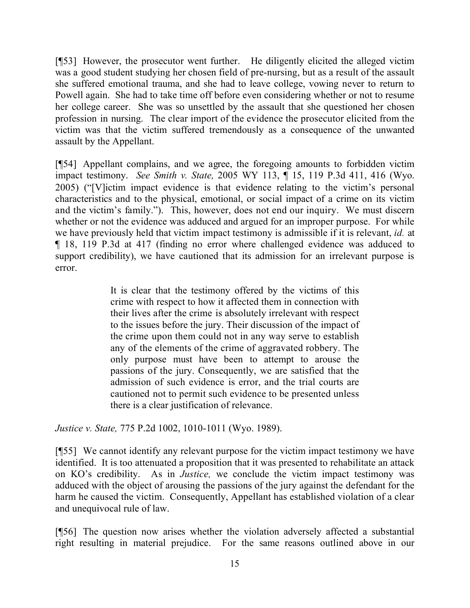[¶53] However, the prosecutor went further. He diligently elicited the alleged victim was a good student studying her chosen field of pre-nursing, but as a result of the assault she suffered emotional trauma, and she had to leave college, vowing never to return to Powell again. She had to take time off before even considering whether or not to resume her college career. She was so unsettled by the assault that she questioned her chosen profession in nursing. The clear import of the evidence the prosecutor elicited from the victim was that the victim suffered tremendously as a consequence of the unwanted assault by the Appellant.

[¶54] Appellant complains, and we agree, the foregoing amounts to forbidden victim impact testimony. *See Smith v. State,* 2005 WY 113, ¶ 15, 119 P.3d 411, 416 (Wyo. 2005) ("[V]ictim impact evidence is that evidence relating to the victim's personal characteristics and to the physical, emotional, or social impact of a crime on its victim and the victim's family."). This, however, does not end our inquiry. We must discern whether or not the evidence was adduced and argued for an improper purpose. For while we have previously held that victim impact testimony is admissible if it is relevant, *id.* at ¶ 18, 119 P.3d at 417 (finding no error where challenged evidence was adduced to support credibility), we have cautioned that its admission for an irrelevant purpose is error.

> It is clear that the testimony offered by the victims of this crime with respect to how it affected them in connection with their lives after the crime is absolutely irrelevant with respect to the issues before the jury. Their discussion of the impact of the crime upon them could not in any way serve to establish any of the elements of the crime of aggravated robbery. The only purpose must have been to attempt to arouse the passions of the jury. Consequently, we are satisfied that the admission of such evidence is error, and the trial courts are cautioned not to permit such evidence to be presented unless there is a clear justification of relevance.

*Justice v. State,* 775 P.2d 1002, 1010-1011 (Wyo. 1989).

[¶55] We cannot identify any relevant purpose for the victim impact testimony we have identified. It is too attenuated a proposition that it was presented to rehabilitate an attack on KO's credibility. As in *Justice,* we conclude the victim impact testimony was adduced with the object of arousing the passions of the jury against the defendant for the harm he caused the victim. Consequently, Appellant has established violation of a clear and unequivocal rule of law.

[¶56] The question now arises whether the violation adversely affected a substantial right resulting in material prejudice. For the same reasons outlined above in our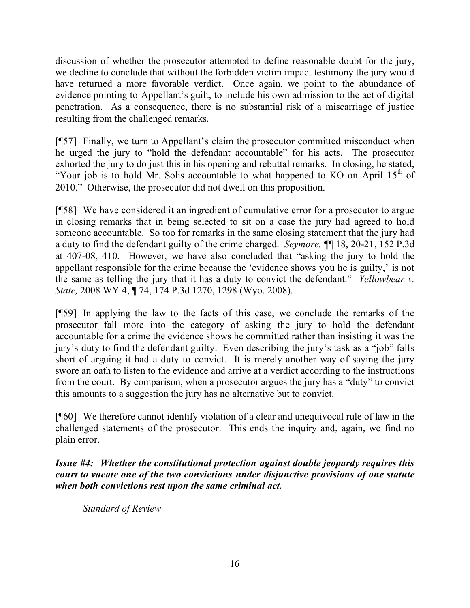discussion of whether the prosecutor attempted to define reasonable doubt for the jury, we decline to conclude that without the forbidden victim impact testimony the jury would have returned a more favorable verdict. Once again, we point to the abundance of evidence pointing to Appellant's guilt, to include his own admission to the act of digital penetration. As a consequence, there is no substantial risk of a miscarriage of justice resulting from the challenged remarks.

[¶57] Finally, we turn to Appellant's claim the prosecutor committed misconduct when he urged the jury to "hold the defendant accountable" for his acts. The prosecutor exhorted the jury to do just this in his opening and rebuttal remarks. In closing, he stated, "Your job is to hold Mr. Solis accountable to what happened to KO on April  $15<sup>th</sup>$  of 2010." Otherwise, the prosecutor did not dwell on this proposition.

[¶58] We have considered it an ingredient of cumulative error for a prosecutor to argue in closing remarks that in being selected to sit on a case the jury had agreed to hold someone accountable. So too for remarks in the same closing statement that the jury had a duty to find the defendant guilty of the crime charged. *Seymore,* ¶¶ 18, 20-21, 152 P.3d at 407-08, 410. However, we have also concluded that "asking the jury to hold the appellant responsible for the crime because the 'evidence shows you he is guilty,' is not the same as telling the jury that it has a duty to convict the defendant." *Yellowbear v. State,* 2008 WY 4, ¶ 74, 174 P.3d 1270, 1298 (Wyo. 2008).

[¶59] In applying the law to the facts of this case, we conclude the remarks of the prosecutor fall more into the category of asking the jury to hold the defendant accountable for a crime the evidence shows he committed rather than insisting it was the jury's duty to find the defendant guilty. Even describing the jury's task as a "job" falls short of arguing it had a duty to convict. It is merely another way of saying the jury swore an oath to listen to the evidence and arrive at a verdict according to the instructions from the court. By comparison, when a prosecutor argues the jury has a "duty" to convict this amounts to a suggestion the jury has no alternative but to convict.

[¶60] We therefore cannot identify violation of a clear and unequivocal rule of law in the challenged statements of the prosecutor. This ends the inquiry and, again, we find no plain error.

*Issue #4: Whether the constitutional protection against double jeopardy requires this court to vacate one of the two convictions under disjunctive provisions of one statute when both convictions rest upon the same criminal act.*

*Standard of Review*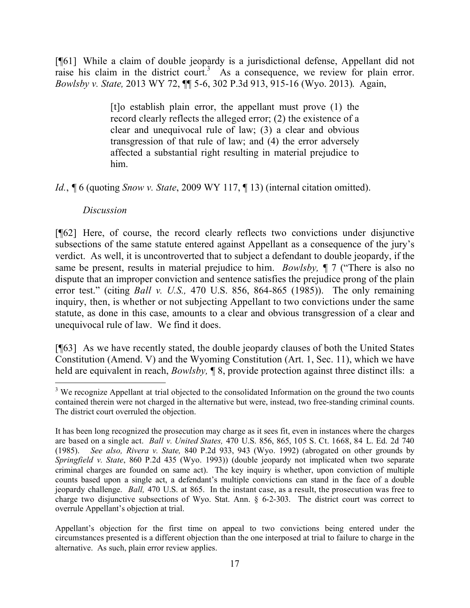[¶61] While a claim of double jeopardy is a jurisdictional defense, Appellant did not raise his claim in the district court.<sup>3</sup> As a consequence, we review for plain error. *Bowlsby v. State,* 2013 WY 72, ¶¶ 5-6, 302 P.3d 913, 915-16 (Wyo. 2013). Again,

> [t]o establish plain error, the appellant must prove (1) the record clearly reflects the alleged error; (2) the existence of a clear and unequivocal rule of law; (3) a clear and obvious transgression of that rule of law; and (4) the error adversely affected a substantial right resulting in material prejudice to him.

*Id.*, **[6** (quoting *Snow v. State*, 2009 WY 117, **[13**) (internal citation omitted).

### *Discussion*

 $\overline{a}$ 

[¶62] Here, of course, the record clearly reflects two convictions under disjunctive subsections of the same statute entered against Appellant as a consequence of the jury's verdict. As well, it is uncontroverted that to subject a defendant to double jeopardy, if the same be present, results in material prejudice to him. *Bowlsby*,  $\P$  7 ("There is also no dispute that an improper conviction and sentence satisfies the prejudice prong of the plain error test." (citing *Ball v. U.S.,* 470 U.S. 856, 864-865 (1985)). The only remaining inquiry, then, is whether or not subjecting Appellant to two convictions under the same statute, as done in this case, amounts to a clear and obvious transgression of a clear and unequivocal rule of law. We find it does.

[¶63] As we have recently stated, the double jeopardy clauses of both the United States Constitution (Amend. V) and the Wyoming Constitution (Art. 1, Sec. 11), which we have held are equivalent in reach, *Bowlsby,* ¶ 8, provide protection against three distinct ills: a

 $3$  We recognize Appellant at trial objected to the consolidated Information on the ground the two counts contained therein were not charged in the alternative but were, instead, two free-standing criminal counts. The district court overruled the objection.

It has been long recognized the prosecution may charge as it sees fit, even in instances where the charges are based on a single act. *Ball v. United States,* 470 U.S. 856, 865, 105 S. Ct. 1668, 84 L. Ed. 2d 740 (1985). *See also, Rivera v. State,* 840 P.2d 933, 943 (Wyo. 1992) (abrogated on other grounds by *Springfield v. State*, 860 P.2d 435 (Wyo. 1993)) (double jeopardy not implicated when two separate criminal charges are founded on same act). The key inquiry is whether, upon conviction of multiple counts based upon a single act, a defendant's multiple convictions can stand in the face of a double jeopardy challenge. *Ball,* 470 U.S. at 865. In the instant case, as a result, the prosecution was free to charge two disjunctive subsections of Wyo. Stat. Ann. § 6-2-303. The district court was correct to overrule Appellant's objection at trial.

Appellant's objection for the first time on appeal to two convictions being entered under the circumstances presented is a different objection than the one interposed at trial to failure to charge in the alternative. As such, plain error review applies.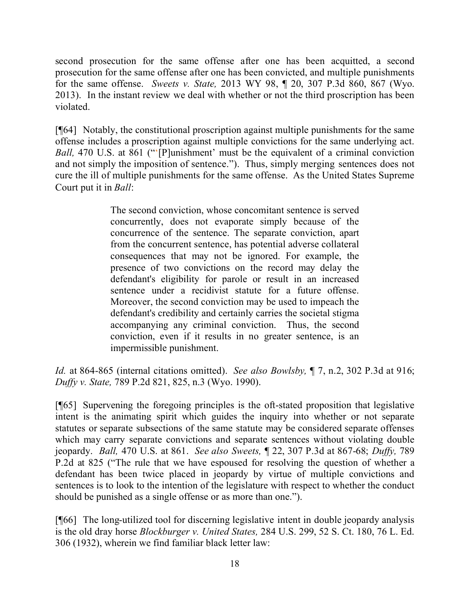second prosecution for the same offense after one has been acquitted, a second prosecution for the same offense after one has been convicted, and multiple punishments for the same offense. *Sweets v. State,* 2013 WY 98, ¶ 20, 307 P.3d 860, 867 (Wyo. 2013). In the instant review we deal with whether or not the third proscription has been violated.

[¶64] Notably, the constitutional proscription against multiple punishments for the same offense includes a proscription against multiple convictions for the same underlying act. *Ball,* 470 U.S. at 861 ("'[P]unishment' must be the equivalent of a criminal conviction and not simply the imposition of sentence."). Thus, simply merging sentences does not cure the ill of multiple punishments for the same offense. As the United States Supreme Court put it in *Ball*:

> The second conviction, whose concomitant sentence is served concurrently, does not evaporate simply because of the concurrence of the sentence. The separate conviction, apart from the concurrent sentence, has potential adverse collateral consequences that may not be ignored. For example, the presence of two convictions on the record may delay the defendant's eligibility for parole or result in an increased sentence under a recidivist statute for a future offense. Moreover, the second conviction may be used to impeach the defendant's credibility and certainly carries the societal stigma accompanying any criminal conviction. Thus, the second conviction, even if it results in no greater sentence, is an impermissible punishment.

*Id.* at 864-865 (internal citations omitted). *See also Bowlsby,* ¶ 7, n.2, 302 P.3d at 916; *Duffy v. State,* 789 P.2d 821, 825, n.3 (Wyo. 1990).

[¶65] Supervening the foregoing principles is the oft-stated proposition that legislative intent is the animating spirit which guides the inquiry into whether or not separate statutes or separate subsections of the same statute may be considered separate offenses which may carry separate convictions and separate sentences without violating double jeopardy. *Ball,* 470 U.S. at 861. *See also Sweets,* ¶ 22, 307 P.3d at 867-68; *Duffy,* 789 P.2d at 825 ("The rule that we have espoused for resolving the question of whether a defendant has been twice placed in jeopardy by virtue of multiple convictions and sentences is to look to the intention of the legislature with respect to whether the conduct should be punished as a single offense or as more than one.").

[¶66] The long-utilized tool for discerning legislative intent in double jeopardy analysis is the old dray horse *Blockburger v. United States,* 284 U.S. 299, 52 S. Ct. 180, 76 L. Ed. 306 (1932), wherein we find familiar black letter law: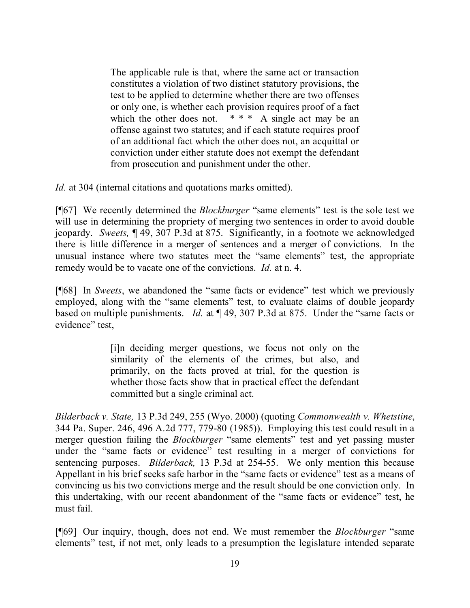The applicable rule is that, where the same act or transaction constitutes a violation of two distinct statutory provisions, the test to be applied to determine whether there are two offenses or only one, is whether each provision requires proof of a fact which the other does not.  $* * * A$  single act may be an offense against two statutes; and if each statute requires proof of an additional fact which the other does not, an acquittal or conviction under either statute does not exempt the defendant from prosecution and punishment under the other.

*Id.* at 304 (internal citations and quotations marks omitted).

[¶67] We recently determined the *Blockburger* "same elements" test is the sole test we will use in determining the propriety of merging two sentences in order to avoid double jeopardy. *Sweets,* ¶ 49, 307 P.3d at 875. Significantly, in a footnote we acknowledged there is little difference in a merger of sentences and a merger of convictions. In the unusual instance where two statutes meet the "same elements" test, the appropriate remedy would be to vacate one of the convictions. *Id.* at n. 4.

[¶68] In *Sweets*, we abandoned the "same facts or evidence" test which we previously employed, along with the "same elements" test, to evaluate claims of double jeopardy based on multiple punishments. *Id.* at ¶ 49, 307 P.3d at 875.Under the "same facts or evidence" test,

> [i]n deciding merger questions, we focus not only on the similarity of the elements of the crimes, but also, and primarily, on the facts proved at trial, for the question is whether those facts show that in practical effect the defendant committed but a single criminal act.

*Bilderback v. State,* 13 P.3d 249, 255 (Wyo. 2000) (quoting *Commonwealth v. Whetstine*, 344 Pa. Super. 246, 496 A.2d 777, 779-80 (1985)). Employing this test could result in a merger question failing the *Blockburger* "same elements" test and yet passing muster under the "same facts or evidence" test resulting in a merger of convictions for sentencing purposes. *Bilderback,* 13 P.3d at 254-55. We only mention this because Appellant in his brief seeks safe harbor in the "same facts or evidence" test as a means of convincing us his two convictions merge and the result should be one conviction only. In this undertaking, with our recent abandonment of the "same facts or evidence" test, he must fail.

[¶69] Our inquiry, though, does not end. We must remember the *Blockburger* "same elements" test, if not met, only leads to a presumption the legislature intended separate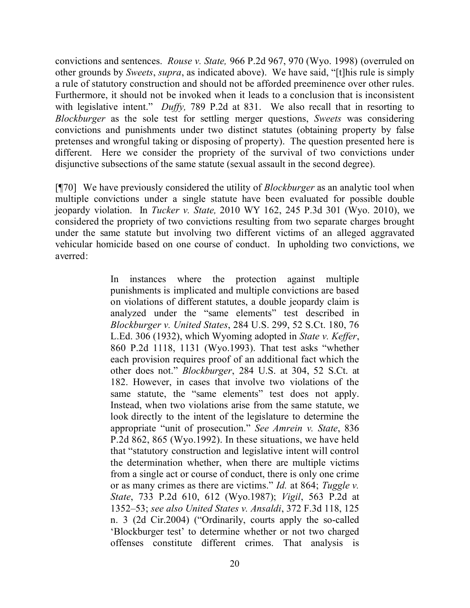convictions and sentences. *Rouse v. State,* 966 P.2d 967, 970 (Wyo. 1998) (overruled on other grounds by *Sweets*, *supra*, as indicated above). We have said, "[t]his rule is simply a rule of statutory construction and should not be afforded preeminence over other rules. Furthermore, it should not be invoked when it leads to a conclusion that is inconsistent with legislative intent." *Duffy*, 789 P.2d at 831. We also recall that in resorting to *Blockburger* as the sole test for settling merger questions, *Sweets* was considering convictions and punishments under two distinct statutes (obtaining property by false pretenses and wrongful taking or disposing of property). The question presented here is different. Here we consider the propriety of the survival of two convictions under disjunctive subsections of the same statute (sexual assault in the second degree).

[¶70] We have previously considered the utility of *Blockburger* as an analytic tool when multiple convictions under a single statute have been evaluated for possible double jeopardy violation. In *Tucker v. State,* 2010 WY 162, 245 P.3d 301 (Wyo. 2010), we considered the propriety of two convictions resulting from two separate charges brought under the same statute but involving two different victims of an alleged aggravated vehicular homicide based on one course of conduct. In upholding two convictions, we averred:

> In instances where the protection against multiple punishments is implicated and multiple convictions are based on violations of different statutes, a double jeopardy claim is analyzed under the "same elements" test described in *Blockburger v. United States*, 284 U.S. 299, 52 S.Ct. 180, 76 L.Ed. 306 (1932), which Wyoming adopted in *State v. Keffer*, 860 P.2d 1118, 1131 (Wyo.1993). That test asks "whether each provision requires proof of an additional fact which the other does not." *Blockburger*, 284 U.S. at 304, 52 S.Ct. at 182. However, in cases that involve two violations of the same statute, the "same elements" test does not apply. Instead, when two violations arise from the same statute, we look directly to the intent of the legislature to determine the appropriate "unit of prosecution." *See Amrein v. State*, 836 P.2d 862, 865 (Wyo.1992). In these situations, we have held that "statutory construction and legislative intent will control the determination whether, when there are multiple victims from a single act or course of conduct, there is only one crime or as many crimes as there are victims." *Id.* at 864; *Tuggle v. State*, 733 P.2d 610, 612 (Wyo.1987); *Vigil*, 563 P.2d at 1352–53; *see also United States v. Ansaldi*, 372 F.3d 118, 125 n. 3 (2d Cir.2004) ("Ordinarily, courts apply the so-called 'Blockburger test' to determine whether or not two charged offenses constitute different crimes. That analysis is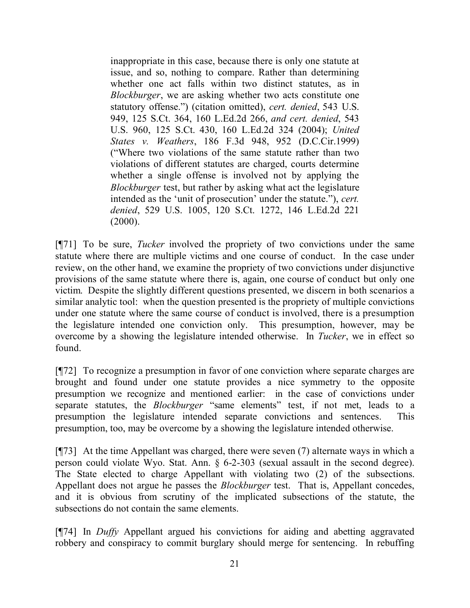inappropriate in this case, because there is only one statute at issue, and so, nothing to compare. Rather than determining whether one act falls within two distinct statutes, as in *Blockburger*, we are asking whether two acts constitute one statutory offense.") (citation omitted), *cert. denied*, 543 U.S. 949, 125 S.Ct. 364, 160 L.Ed.2d 266, *and cert. denied*, 543 U.S. 960, 125 S.Ct. 430, 160 L.Ed.2d 324 (2004); *United States v. Weathers*, 186 F.3d 948, 952 (D.C.Cir.1999) ("Where two violations of the same statute rather than two violations of different statutes are charged, courts determine whether a single offense is involved not by applying the *Blockburger* test, but rather by asking what act the legislature intended as the 'unit of prosecution' under the statute."), *cert. denied*, 529 U.S. 1005, 120 S.Ct. 1272, 146 L.Ed.2d 221  $(2000)$ .

[¶71] To be sure, *Tucker* involved the propriety of two convictions under the same statute where there are multiple victims and one course of conduct. In the case under review, on the other hand, we examine the propriety of two convictions under disjunctive provisions of the same statute where there is, again, one course of conduct but only one victim. Despite the slightly different questions presented, we discern in both scenarios a similar analytic tool: when the question presented is the propriety of multiple convictions under one statute where the same course of conduct is involved, there is a presumption the legislature intended one conviction only. This presumption, however, may be overcome by a showing the legislature intended otherwise. In *Tucker*, we in effect so found.

[¶72] To recognize a presumption in favor of one conviction where separate charges are brought and found under one statute provides a nice symmetry to the opposite presumption we recognize and mentioned earlier: in the case of convictions under separate statutes, the *Blockburger* "same elements" test, if not met, leads to a presumption the legislature intended separate convictions and sentences. This presumption, too, may be overcome by a showing the legislature intended otherwise.

[¶73] At the time Appellant was charged, there were seven (7) alternate ways in which a person could violate Wyo. Stat. Ann. § 6-2-303 (sexual assault in the second degree). The State elected to charge Appellant with violating two (2) of the subsections. Appellant does not argue he passes the *Blockburger* test. That is, Appellant concedes, and it is obvious from scrutiny of the implicated subsections of the statute, the subsections do not contain the same elements.

[¶74] In *Duffy* Appellant argued his convictions for aiding and abetting aggravated robbery and conspiracy to commit burglary should merge for sentencing. In rebuffing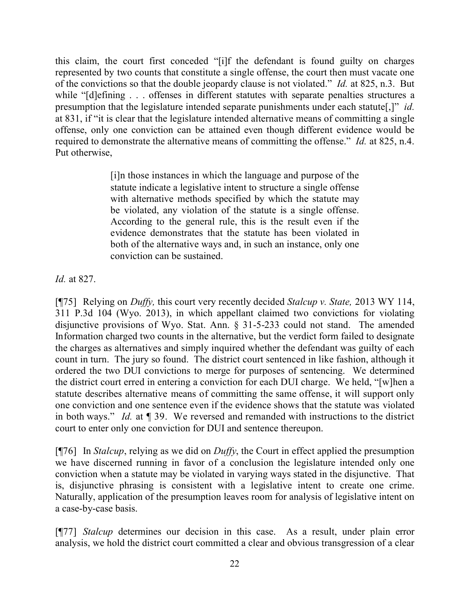this claim, the court first conceded "[i]f the defendant is found guilty on charges represented by two counts that constitute a single offense, the court then must vacate one of the convictions so that the double jeopardy clause is not violated." *Id.* at 825, n.3. But while "[d]efining . . . offenses in different statutes with separate penalties structures a presumption that the legislature intended separate punishments under each statute[,]" *id.* at 831, if "it is clear that the legislature intended alternative means of committing a single offense, only one conviction can be attained even though different evidence would be required to demonstrate the alternative means of committing the offense." *Id.* at 825, n.4. Put otherwise,

> [i]n those instances in which the language and purpose of the statute indicate a legislative intent to structure a single offense with alternative methods specified by which the statute may be violated, any violation of the statute is a single offense. According to the general rule, this is the result even if the evidence demonstrates that the statute has been violated in both of the alternative ways and, in such an instance, only one conviction can be sustained.

*Id.* at 827.

[¶75] Relying on *Duffy,* this court very recently decided *Stalcup v. State,* 2013 WY 114, 311 P.3d 104 (Wyo. 2013), in which appellant claimed two convictions for violating disjunctive provisions of Wyo. Stat. Ann. § 31-5-233 could not stand. The amended Information charged two counts in the alternative, but the verdict form failed to designate the charges as alternatives and simply inquired whether the defendant was guilty of each count in turn. The jury so found. The district court sentenced in like fashion, although it ordered the two DUI convictions to merge for purposes of sentencing. We determined the district court erred in entering a conviction for each DUI charge. We held, "[w]hen a statute describes alternative means of committing the same offense, it will support only one conviction and one sentence even if the evidence shows that the statute was violated in both ways." *Id.* at ¶ 39. We reversed and remanded with instructions to the district court to enter only one conviction for DUI and sentence thereupon.

[¶76] In *Stalcup*, relying as we did on *Duffy*, the Court in effect applied the presumption we have discerned running in favor of a conclusion the legislature intended only one conviction when a statute may be violated in varying ways stated in the disjunctive. That is, disjunctive phrasing is consistent with a legislative intent to create one crime. Naturally, application of the presumption leaves room for analysis of legislative intent on a case-by-case basis.

[¶77] *Stalcup* determines our decision in this case. As a result, under plain error analysis, we hold the district court committed a clear and obvious transgression of a clear